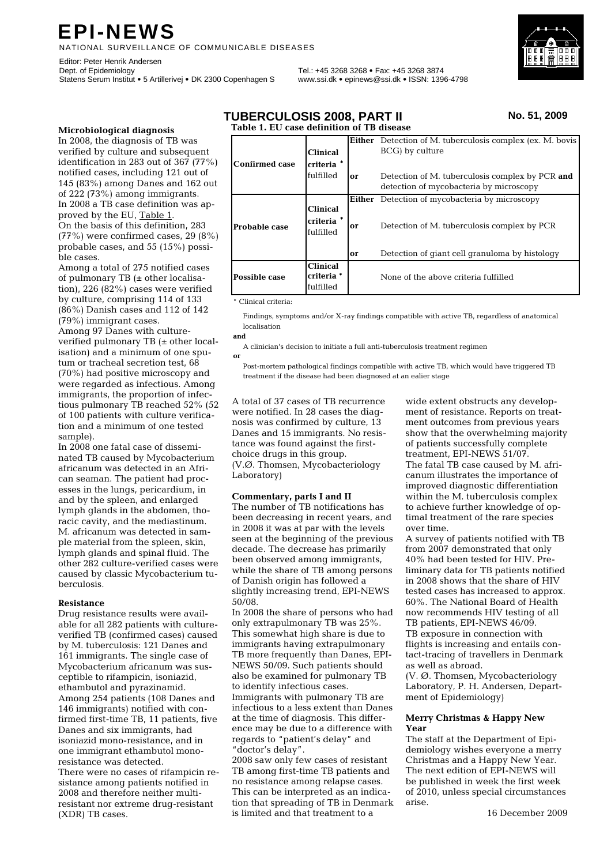# **EPI-NEWS**

NATIONAL SURVEILLANCE OF COMMUNICABLE DISEASES

Editor: Peter Henrik Andersen<br>Dept. of Epidemiology Statens Serum Institut • 5 Artillerivej • DK 2300 Copenhagen S www.ssi.dk • epinews@ssi.dk • ISSN: 1396-4798

Dept. of Epidemiology Tel.: +45 3268 3268 • Fax: +45 3268 3874



#### **Microbiological diagnosis**

In 2008, the diagnosis of TB was verified by culture and subsequent identification in 283 out of 367 (77%) notified cases, including 121 out of 145 (83%) among Danes and 162 out of 222 (73%) among immigrants. In 2008 a TB case definition was approved by the EU, Table 1. On the basis of this definition, 283 (77%) were confirmed cases, 29 (8%) probable cases, and 55 (15%) possible cases.

Among a total of 275 notified cases of pulmonary TB  $(±$  other localisation), 226 (82%) cases were verified by culture, comprising 114 of 133 (86%) Danish cases and 112 of 142 (79%) immigrant cases.

Among 97 Danes with cultureverified pulmonary TB (± other localisation) and a minimum of one sputum or tracheal secretion test, 68 (70%) had positive microscopy and were regarded as infectious. Among immigrants, the proportion of infectious pulmonary TB reached 52% (52 of 100 patients with culture verification and a minimum of one tested sample).

In 2008 one fatal case of disseminated TB caused by Mycobacterium africanum was detected in an African seaman. The patient had processes in the lungs, pericardium, in and by the spleen, and enlarged lymph glands in the abdomen, thoracic cavity, and the mediastinum. M. africanum was detected in sample material from the spleen, skin, lymph glands and spinal fluid. The other 282 culture-verified cases were caused by classic Mycobacterium tuberculosis.

#### **Resistance**

Drug resistance results were available for all 282 patients with cultureverified TB (confirmed cases) caused by M. tuberculosis: 121 Danes and 161 immigrants. The single case of Mycobacterium africanum was susceptible to rifampicin, isoniazid, ethambutol and pyrazinamid. Among 254 patients (108 Danes and 146 immigrants) notified with confirmed first-time TB, 11 patients, five Danes and six immigrants, had isoniazid mono-resistance, and in one immigrant ethambutol monoresistance was detected. There were no cases of rifampicin resistance among patients notified in 2008 and therefore neither multiresistant nor extreme drug-resistant (XDR) TB cases.

| <b>TUBERCULOSIS 2008, PART II</b>         | No. 51, 2009 |
|-------------------------------------------|--------------|
| Table 1. EU case definition of TB disease |              |

|                       |                                                       |    | <b>Either</b> Detection of M. tuberculosis complex (ex. M. bovis) |
|-----------------------|-------------------------------------------------------|----|-------------------------------------------------------------------|
|                       | <b>Clinical</b>                                       |    | BCG) by culture                                                   |
| <b>Confirmed case</b> | criteria *                                            |    |                                                                   |
|                       | fulfilled                                             | or | Detection of M. tuberculosis complex by PCR and                   |
|                       |                                                       |    | detection of mycobacteria by microscopy                           |
|                       |                                                       |    | <b>Either</b> Detection of mycobacteria by microscopy             |
| <b>Probable case</b>  | <b>Clinical</b><br>criteria <sup>*</sup><br>fulfilled | or | Detection of M. tuberculosis complex by PCR                       |
|                       |                                                       | or | Detection of giant cell granuloma by histology                    |
| Possible case         | <b>Clinical</b><br>criteria *<br>fulfilled            |    | None of the above criteria fulfilled                              |

\* Clinical criteria:

 Findings, symptoms and/or X-ray findings compatible with active TB, regardless of anatomical localisation

#### **and**

**or**

A clinician's decision to initiate a full anti-tuberculosis treatment regimen

 treatment if the disease had been diagnosed at an ealier stage Post-mortem pathological findings compatible with active TB, which would have triggered TB

A total of 37 cases of TB recurrence were notified. In 28 cases the diagnosis was confirmed by culture, 13 Danes and 15 immigrants. No resistance was found against the firstchoice drugs in this group. (V.Ø. Thomsen, Mycobacteriology Laboratory)

# **Commentary, parts I and II**

The number of TB notifications has been decreasing in recent years, and in 2008 it was at par with the levels seen at the beginning of the previous decade. The decrease has primarily been observed among immigrants, while the share of TB among persons of Danish origin has followed a slightly increasing trend, EPI-NEWS 50/08.

In 2008 the share of persons who had only extrapulmonary TB was 25%. This somewhat high share is due to immigrants having extrapulmonary TB more frequently than Danes, EPI-NEWS 50/09. Such patients should also be examined for pulmonary TB to identify infectious cases. Immigrants with pulmonary TB are infectious to a less extent than Danes at the time of diagnosis. This difference may be due to a difference with regards to "patient's delay" and "doctor's delay".

2008 saw only few cases of resistant TB among first-time TB patients and no resistance among relapse cases. This can be interpreted as an indication that spreading of TB in Denmark is limited and that treatment to a

wide extent obstructs any development of resistance. Reports on treatment outcomes from previous years show that the overwhelming majority of patients successfully complete treatment, EPI-NEWS 51/07. The fatal TB case caused by M. africanum illustrates the importance of improved diagnostic differentiation within the M. tuberculosis complex to achieve further knowledge of optimal treatment of the rare species over time.

A survey of patients notified with TB from 2007 demonstrated that only 40% had been tested for HIV. Preliminary data for TB patients notified in 2008 shows that the share of HIV tested cases has increased to approx. 60%. The National Board of Health now recommends HIV testing of all TB patients, EPI-NEWS 46/09. TB exposure in connection with flights is increasing and entails contact-tracing of travellers in Denmark as well as abroad.

(V. Ø. Thomsen, Mycobacteriology Laboratory, P. H. Andersen, Department of Epidemiology)

#### **Merry Christmas & Happy New Year**

The staff at the Department of Epidemiology wishes everyone a merry Christmas and a Happy New Year. The next edition of EPI-NEWS will be published in week the first week of 2010, unless special circumstances arise.